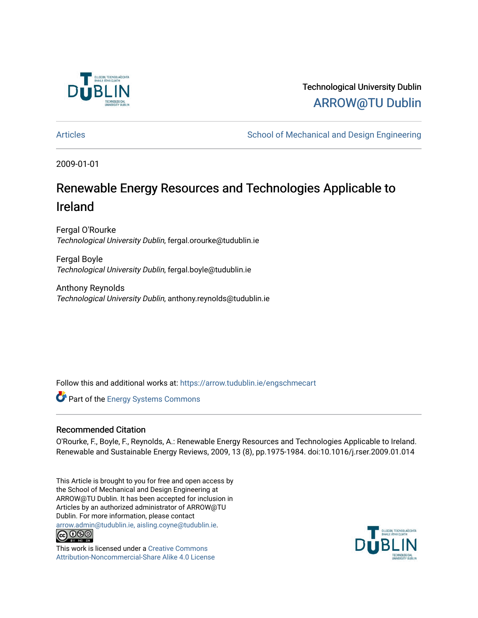

Technological University Dublin [ARROW@TU Dublin](https://arrow.tudublin.ie/) 

[Articles](https://arrow.tudublin.ie/engschmecart) **School of Mechanical and Design Engineering** School of Mechanical and Design Engineering

2009-01-01

# Renewable Energy Resources and Technologies Applicable to Ireland

Fergal O'Rourke Technological University Dublin, fergal.orourke@tudublin.ie

Fergal Boyle Technological University Dublin, fergal.boyle@tudublin.ie

Anthony Reynolds Technological University Dublin, anthony.reynolds@tudublin.ie

Follow this and additional works at: [https://arrow.tudublin.ie/engschmecart](https://arrow.tudublin.ie/engschmecart?utm_source=arrow.tudublin.ie%2Fengschmecart%2F15&utm_medium=PDF&utm_campaign=PDFCoverPages) 

Part of the [Energy Systems Commons](http://network.bepress.com/hgg/discipline/299?utm_source=arrow.tudublin.ie%2Fengschmecart%2F15&utm_medium=PDF&utm_campaign=PDFCoverPages) 

# Recommended Citation

O'Rourke, F., Boyle, F., Reynolds, A.: Renewable Energy Resources and Technologies Applicable to Ireland. Renewable and Sustainable Energy Reviews, 2009, 13 (8), pp.1975-1984. doi:10.1016/j.rser.2009.01.014

This Article is brought to you for free and open access by the School of Mechanical and Design Engineering at ARROW@TU Dublin. It has been accepted for inclusion in Articles by an authorized administrator of ARROW@TU Dublin. For more information, please contact [arrow.admin@tudublin.ie, aisling.coyne@tudublin.ie](mailto:arrow.admin@tudublin.ie,%20aisling.coyne@tudublin.ie).



This work is licensed under a [Creative Commons](http://creativecommons.org/licenses/by-nc-sa/4.0/) [Attribution-Noncommercial-Share Alike 4.0 License](http://creativecommons.org/licenses/by-nc-sa/4.0/)

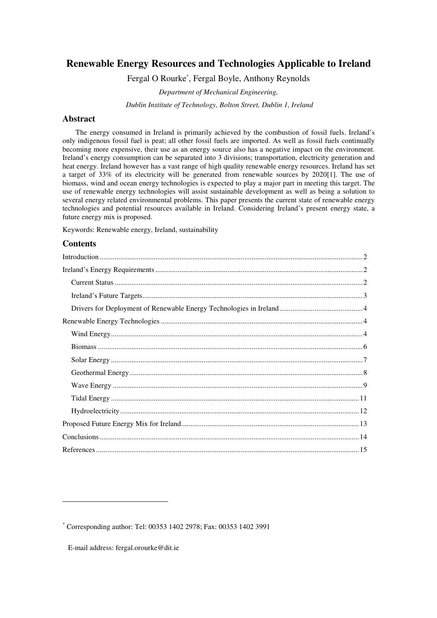# **Renewable Energy Resources and Technologies Applicable to Ireland**

Fergal O Rourke \* , Fergal Boyle, Anthony Reynolds

*Department of Mechanical Engineering, Dublin Institute of Technology, Bolton Street, Dublin 1, Ireland*

## **Abstract**

The energy consumed in Ireland is primarily achieved by the combustion of fossil fuels. Ireland's only indigenous fossil fuel is peat; all other fossil fuels are imported. As well as fossil fuels continually becoming more expensive, their use as an energy source also has a negative impact on the environment. Ireland's energy consumption can be separated into 3 divisions; transportation, electricity generation and heat energy. Ireland however has a vast range of high quality renewable energy resources. Ireland has set a target of 33% of its electricity will be generated from renewable sources by 2020[1]. The use of biomass, wind and ocean energy technologies is expected to play a major part in meeting this target. The use of renewable energy technologies will assist sustainable development as well as being a solution to several energy related environmental problems. This paper presents the current state of renewable energy technologies and potential resources available in Ireland. Considering Ireland's present energy state, a future energy mix is proposed.

Keywords: Renewable energy, Ireland, sustainability

### **Contents**

<sup>\*</sup> Corresponding author: Tel: 00353 1402 2978; Fax: 00353 1402 3991

E-mail address: fergal.orourke@dit.ie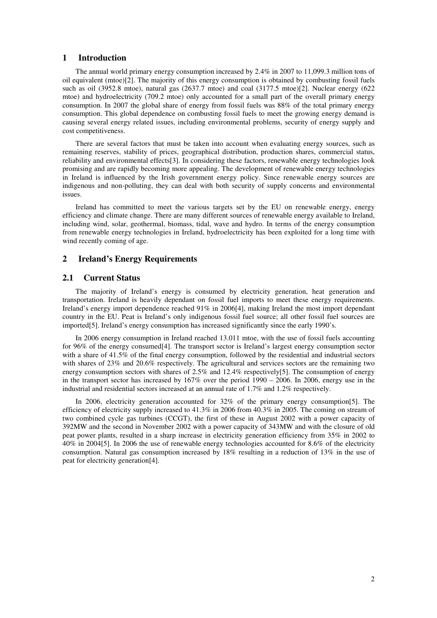## **1 Introduction**

The annual world primary energy consumption increased by 2.4% in 2007 to 11,099.3 million tons of oil equivalent (mtoe)[2]. The majority of this energy consumption is obtained by combusting fossil fuels such as oil (3952.8 mtoe), natural gas (2637.7 mtoe) and coal (3177.5 mtoe)[2]. Nuclear energy (622) mtoe) and hydroelectricity (709.2 mtoe) only accounted for a small part of the overall primary energy consumption. In 2007 the global share of energy from fossil fuels was 88% of the total primary energy consumption. This global dependence on combusting fossil fuels to meet the growing energy demand is causing several energy related issues, including environmental problems, security of energy supply and cost competitiveness.

There are several factors that must be taken into account when evaluating energy sources, such as remaining reserves, stability of prices, geographical distribution, production shares, commercial status, reliability and environmental effects[3]. In considering these factors, renewable energy technologies look promising and are rapidly becoming more appealing. The development of renewable energy technologies in Ireland is influenced by the Irish government energy policy. Since renewable energy sources are indigenous and non-polluting, they can deal with both security of supply concerns and environmental issues.

Ireland has committed to meet the various targets set by the EU on renewable energy, energy efficiency and climate change. There are many different sources of renewable energy available to Ireland, including wind, solar, geothermal, biomass, tidal, wave and hydro. In terms of the energy consumption from renewable energy technologies in Ireland, hydroelectricity has been exploited for a long time with wind recently coming of age.

#### **2 Ireland's Energy Requirements**

#### **2.1 Current Status**

The majority of Ireland's energy is consumed by electricity generation, heat generation and transportation. Ireland is heavily dependant on fossil fuel imports to meet these energy requirements. Ireland's energy import dependence reached 91% in 2006[4], making Ireland the most import dependant country in the EU. Peat is Ireland's only indigenous fossil fuel source; all other fossil fuel sources are imported[5]. Ireland's energy consumption has increased significantly since the early 1990's.

In 2006 energy consumption in Ireland reached 13.011 mtoe, with the use of fossil fuels accounting for 96% of the energy consumed[4]. The transport sector is Ireland's largest energy consumption sector with a share of 41.5% of the final energy consumption, followed by the residential and industrial sectors with shares of 23% and 20.6% respectively. The agricultural and services sectors are the remaining two energy consumption sectors with shares of 2.5% and 12.4% respectively[5]. The consumption of energy in the transport sector has increased by 167% over the period 1990 – 2006. In 2006, energy use in the industrial and residential sectors increased at an annual rate of 1.7% and 1.2% respectively.

In 2006, electricity generation accounted for 32% of the primary energy consumption[5]. The efficiency of electricity supply increased to 41.3% in 2006 from 40.3% in 2005. The coming on stream of two combined cycle gas turbines (CCGT), the first of these in August 2002 with a power capacity of 392MW and the second in November 2002 with a power capacity of 343MW and with the closure of old peat power plants, resulted in a sharp increase in electricity generation efficiency from 35% in 2002 to 40% in 2004[5]. In 2006 the use of renewable energy technologies accounted for 8.6% of the electricity consumption. Natural gas consumption increased by 18% resulting in a reduction of 13% in the use of peat for electricity generation[4].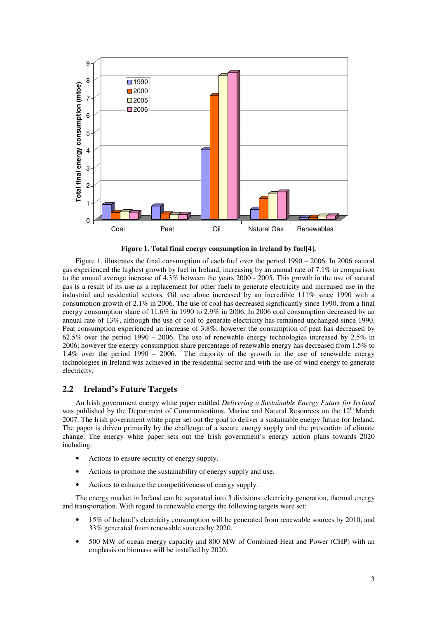

**Figure 1. Total final energy consumption in Ireland by fuel[4].**

Figure 1. illustrates the final consumption of each fuel over the period 1990 – 2006. In 2006 natural gas experienced the highest growth by fuel in Ireland, increasing by an annual rate of 7.1% in comparison to the annual average increase of 4.3% between the years 2000 - 2005. This growth in the use of natural gas is a result of its use as a replacement for other fuels to generate electricity and increased use in the industrial and residential sectors. Oil use alone increased by an incredible 111% since 1990 with a consumption growth of 2.1% in 2006. The use of coal has decreased significantly since 1990, from a final energy consumption share of 11.6% in 1990 to 2.9% in 2006. In 2006 coal consumption decreased by an annual rate of 13%, although the use of coal to generate electricity has remained unchanged since 1990. Peat consumption experienced an increase of 3.8%; however the consumption of peat has decreased by 62.5% over the period 1990 – 2006. The use of renewable energy technologies increased by  $2.5\%$  in 2006; however the energy consumption share percentage of renewable energy has decreased from 1.5% to 1.4% over the period 1990 – 2006. The majority of the growth in the use of renewable energy technologies in Ireland was achieved in the residential sector and with the use of wind energy to generate electricity.

# **2.2 Ireland's Future Targets**

An Irish government energy white paper entitled *Delivering a Sustainable Energy Future for Ireland* was published by the Department of Communications, Marine and Natural Resources on the 12<sup>th</sup> March 2007. The Irish government white paper set out the goal to deliver a sustainable energy future for Ireland. The paper is driven primarily by the challenge of a secure energy supply and the prevention of climate change. The energy white paper sets out the Irish government's energy action plans towards 2020 including:

- Actions to ensure security of energy supply.
- Actions to promote the sustainability of energy supply and use.
- Actions to enhance the competitiveness of energy supply.

The energy market in Ireland can be separated into 3 divisions: electricity generation, thermal energy and transportation. With regard to renewable energy the following targets were set:

- 15% of Ireland's electricity consumption will be generated from renewable sources by 2010, and 33% generated from renewable sources by 2020.
- 500 MW of ocean energy capacity and 800 MW of Combined Heat and Power (CHP) with an emphasis on biomass will be installed by 2020.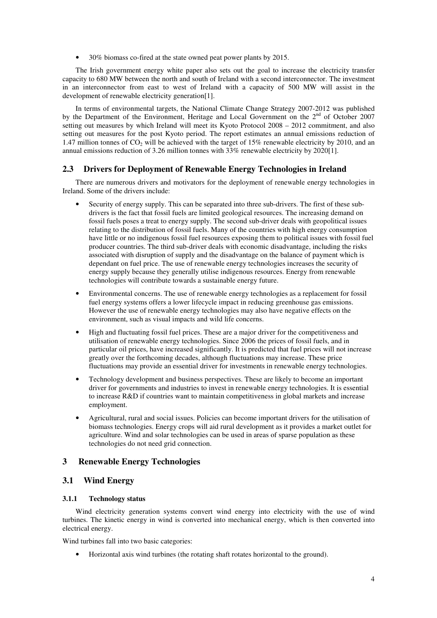• 30% biomass co-fired at the state owned peat power plants by 2015.

The Irish government energy white paper also sets out the goal to increase the electricity transfer capacity to 680 MW between the north and south of Ireland with a second interconnector. The investment in an interconnector from east to west of Ireland with a capacity of 500 MW will assist in the development of renewable electricity generation[1].

In terms of environmental targets, the National Climate Change Strategy 2007-2012 was published by the Department of the Environment, Heritage and Local Government on the 2<sup>nd</sup> of October 2007 setting out measures by which Ireland will meet its Kyoto Protocol 2008 – 2012 commitment, and also setting out measures for the post Kyoto period. The report estimates an annual emissions reduction of 1.47 million tonnes of  $CO<sub>2</sub>$  will be achieved with the target of 15% renewable electricity by 2010, and an annual emissions reduction of 3.26 million tonnes with 33% renewable electricity by 2020[1].

# **2.3 Drivers for Deployment of Renewable Energy Technologies in Ireland**

There are numerous drivers and motivators for the deployment of renewable energy technologies in Ireland. Some of the drivers include:

- Security of energy supply. This can be separated into three sub-drivers. The first of these subdrivers is the fact that fossil fuels are limited geological resources. The increasing demand on fossil fuels poses a treat to energy supply. The second sub-driver deals with geopolitical issues relating to the distribution of fossil fuels. Many of the countries with high energy consumption have little or no indigenous fossil fuel resources exposing them to political issues with fossil fuel producer countries. The third sub-driver deals with economic disadvantage, including the risks associated with disruption of supply and the disadvantage on the balance of payment which is dependant on fuel price. The use of renewable energy technologies increases the security of energy supply because they generally utilise indigenous resources. Energy from renewable technologies will contribute towards a sustainable energy future.
- Environmental concerns. The use of renewable energy technologies as a replacement for fossil fuel energy systems offers a lower lifecycle impact in reducing greenhouse gas emissions. However the use of renewable energy technologies may also have negative effects on the environment, such as visual impacts and wild life concerns.
- High and fluctuating fossil fuel prices. These are a major driver for the competitiveness and utilisation of renewable energy technologies. Since 2006 the prices of fossil fuels, and in particular oil prices, have increased significantly. It is predicted that fuel prices will not increase greatly over the forthcoming decades, although fluctuations may increase. These price fluctuations may provide an essential driver for investments in renewable energy technologies.
- Technology development and business perspectives. These are likely to become an important driver for governments and industries to invest in renewable energy technologies. It is essential to increase R&D if countries want to maintain competitiveness in global markets and increase employment.
- Agricultural, rural and social issues. Policies can become important drivers for the utilisation of biomass technologies. Energy crops will aid rural development as it provides a market outlet for agriculture. Wind and solar technologies can be used in areas of sparse population as these technologies do not need grid connection.

## **3 Renewable Energy Technologies**

# **3.1 Wind Energy**

## **3.1.1 Technology status**

Wind electricity generation systems convert wind energy into electricity with the use of wind turbines. The kinetic energy in wind is converted into mechanical energy, which is then converted into electrical energy.

Wind turbines fall into two basic categories:

• Horizontal axis wind turbines (the rotating shaft rotates horizontal to the ground).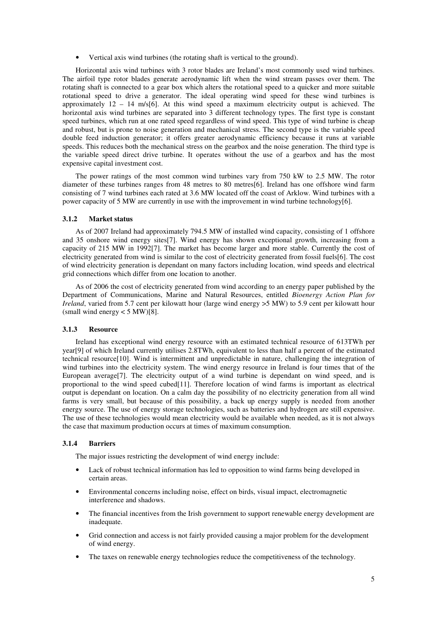• Vertical axis wind turbines (the rotating shaft is vertical to the ground).

Horizontal axis wind turbines with 3 rotor blades are Ireland's most commonly used wind turbines. The airfoil type rotor blades generate aerodynamic lift when the wind stream passes over them. The rotating shaft is connected to a gear box which alters the rotational speed to a quicker and more suitable rotational speed to drive a generator. The ideal operating wind speed for these wind turbines is approximately  $12 - 14$  m/s[6]. At this wind speed a maximum electricity output is achieved. The horizontal axis wind turbines are separated into 3 different technology types. The first type is constant speed turbines, which run at one rated speed regardless of wind speed. This type of wind turbine is cheap and robust, but is prone to noise generation and mechanical stress. The second type is the variable speed double feed induction generator; it offers greater aerodynamic efficiency because it runs at variable speeds. This reduces both the mechanical stress on the gearbox and the noise generation. The third type is the variable speed direct drive turbine. It operates without the use of a gearbox and has the most expensive capital investment cost.

The power ratings of the most common wind turbines vary from 750 kW to 2.5 MW. The rotor diameter of these turbines ranges from 48 metres to 80 metres[6]. Ireland has one offshore wind farm consisting of 7 wind turbines each rated at 3.6 MW located off the coast of Arklow. Wind turbines with a power capacity of 5 MW are currently in use with the improvement in wind turbine technology[6].

#### **3.1.2 Market status**

As of 2007 Ireland had approximately 794.5 MW of installed wind capacity, consisting of 1 offshore and 35 onshore wind energy sites[7]. Wind energy has shown exceptional growth, increasing from a capacity of 215 MW in 1992[7]. The market has become larger and more stable. Currently the cost of electricity generated from wind is similar to the cost of electricity generated from fossil fuels[6]. The cost of wind electricity generation is dependant on many factors including location, wind speeds and electrical grid connections which differ from one location to another.

As of 2006 the cost of electricity generated from wind according to an energy paper published by the Department of Communications, Marine and Natural Resources, entitled *Bioenergy Action Plan for Ireland*, varied from 5.7 cent per kilowatt hour (large wind energy  $>$  5 MW) to 5.9 cent per kilowatt hour (small wind energy  $<$  5 MW)[8].

#### **3.1.3 Resource**

Ireland has exceptional wind energy resource with an estimated technical resource of 613TWh per year[9] of which Ireland currently utilises 2.8TWh, equivalent to less than half a percent of the estimated technical resource[10]. Wind is intermittent and unpredictable in nature, challenging the integration of wind turbines into the electricity system. The wind energy resource in Ireland is four times that of the European average[7]. The electricity output of a wind turbine is dependant on wind speed, and is proportional to the wind speed cubed[11]. Therefore location of wind farms is important as electrical output is dependant on location. On a calm day the possibility of no electricity generation from all wind farms is very small, but because of this possibility, a back up energy supply is needed from another energy source. The use of energy storage technologies, such as batteries and hydrogen are still expensive. The use of these technologies would mean electricity would be available when needed, as it is not always the case that maximum production occurs at times of maximum consumption.

#### **3.1.4 Barriers**

The major issues restricting the development of wind energy include:

- Lack of robust technical information has led to opposition to wind farms being developed in certain areas.
- Environmental concerns including noise, effect on birds, visual impact, electromagnetic interference and shadows.
- The financial incentives from the Irish government to support renewable energy development are inadequate.
- Grid connection and access is not fairly provided causing a major problem for the development of wind energy.
- The taxes on renewable energy technologies reduce the competitiveness of the technology.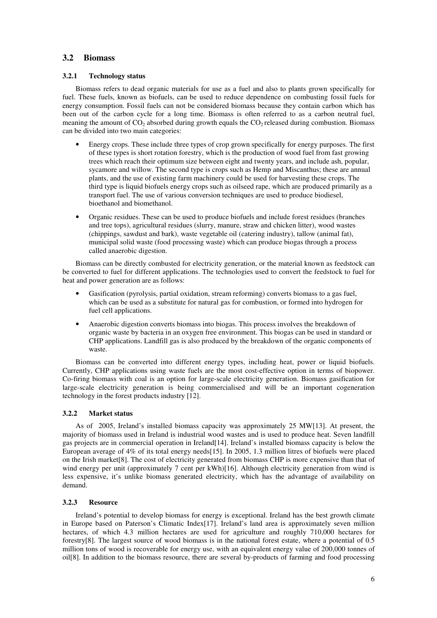## **3.2 Biomass**

#### **3.2.1 Technology status**

Biomass refers to dead organic materials for use as a fuel and also to plants grown specifically for fuel. These fuels, known as biofuels, can be used to reduce dependence on combusting fossil fuels for energy consumption. Fossil fuels can not be considered biomass because they contain carbon which has been out of the carbon cycle for a long time. Biomass is often referred to as a carbon neutral fuel, meaning the amount of  $CO_2$  absorbed during growth equals the  $CO_2$  released during combustion. Biomass can be divided into two main categories:

- Energy crops. These include three types of crop grown specifically for energy purposes. The first of these types is short rotation forestry, which is the production of wood fuel from fast growing trees which reach their optimum size between eight and twenty years, and include ash, popular, sycamore and willow. The second type is crops such as Hemp and Miscanthus; these are annual plants, and the use of existing farm machinery could be used for harvesting these crops. The third type is liquid biofuels energy crops such as oilseed rape, which are produced primarily as a transport fuel. The use of various conversion techniques are used to produce biodiesel, bioethanol and biomethanol.
- Organic residues. These can be used to produce biofuels and include forest residues (branches and tree tops), agricultural residues (slurry, manure, straw and chicken litter), wood wastes (chippings, sawdust and bark), waste vegetable oil (catering industry), tallow (animal fat), municipal solid waste (food processing waste) which can produce biogas through a process called anaerobic digestion.

Biomass can be directly combusted for electricity generation, or the material known as feedstock can be converted to fuel for different applications. The technologies used to convert the feedstock to fuel for heat and power generation are as follows:

- Gasification (pyrolysis, partial oxidation, stream reforming) converts biomass to a gas fuel, which can be used as a substitute for natural gas for combustion, or formed into hydrogen for fuel cell applications.
- Anaerobic digestion converts biomass into biogas. This process involves the breakdown of organic waste by bacteria in an oxygen free environment. This biogas can be used in standard or CHP applications. Landfill gas is also produced by the breakdown of the organic components of waste.

Biomass can be converted into different energy types, including heat, power or liquid biofuels. Currently, CHP applications using waste fuels are the most cost-effective option in terms of biopower. Co-firing biomass with coal is an option for large-scale electricity generation. Biomass gasification for large-scale electricity generation is being commercialised and will be an important cogeneration technology in the forest products industry [12].

#### **3.2.2 Market status**

As of 2005, Ireland's installed biomass capacity was approximately 25 MW[13]. At present, the majority of biomass used in Ireland is industrial wood wastes and is used to produce heat. Seven landfill gas projects are in commercial operation in Ireland[14]. Ireland's installed biomass capacity is below the European average of 4% of its total energy needs[15]. In 2005, 1.3 million litres of biofuels were placed on the Irish market[8]. The cost of electricity generated from biomass CHP is more expensive than that of wind energy per unit (approximately 7 cent per kWh)[16]. Although electricity generation from wind is less expensive, it's unlike biomass generated electricity, which has the advantage of availability on demand.

#### **3.2.3 Resource**

Ireland's potential to develop biomass for energy is exceptional. Ireland has the best growth climate in Europe based on Paterson's Climatic Index[17]. Ireland's land area is approximately seven million hectares, of which 4.3 million hectares are used for agriculture and roughly 710,000 hectares for forestry[8]. The largest source of wood biomass is in the national forest estate, where a potential of 0.5 million tons of wood is recoverable for energy use, with an equivalent energy value of 200,000 tonnes of oil[8]. In addition to the biomass resource, there are several by-products of farming and food processing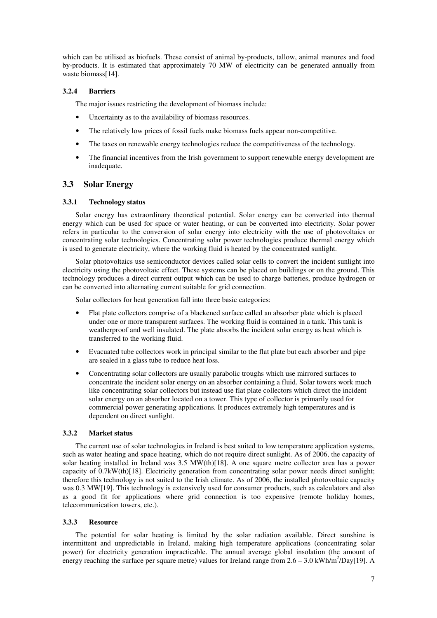which can be utilised as biofuels. These consist of animal by-products, tallow, animal manures and food by-products. It is estimated that approximately 70 MW of electricity can be generated annually from waste biomass[14].

## **3.2.4 Barriers**

The major issues restricting the development of biomass include:

- Uncertainty as to the availability of biomass resources.
- The relatively low prices of fossil fuels make biomass fuels appear non-competitive.
- The taxes on renewable energy technologies reduce the competitiveness of the technology.
- The financial incentives from the Irish government to support renewable energy development are inadequate.

# **3.3 Solar Energy**

#### **3.3.1 Technology status**

Solar energy has extraordinary theoretical potential. Solar energy can be converted into thermal energy which can be used for space or water heating, or can be converted into electricity. Solar power refers in particular to the conversion of solar energy into electricity with the use of photovoltaics or concentrating solar technologies. Concentrating solar power technologies produce thermal energy which is used to generate electricity, where the working fluid is heated by the concentrated sunlight.

Solar photovoltaics use semiconductor devices called solar cells to convert the incident sunlight into electricity using the photovoltaic effect. These systems can be placed on buildings or on the ground. This technology produces a direct current output which can be used to charge batteries, produce hydrogen or can be converted into alternating current suitable for grid connection.

Solar collectors for heat generation fall into three basic categories:

- Flat plate collectors comprise of a blackened surface called an absorber plate which is placed under one or more transparent surfaces. The working fluid is contained in a tank. This tank is weatherproof and well insulated. The plate absorbs the incident solar energy as heat which is transferred to the working fluid.
- Evacuated tube collectors work in principal similar to the flat plate but each absorber and pipe are sealed in a glass tube to reduce heat loss.
- Concentrating solar collectors are usually parabolic troughs which use mirrored surfaces to concentrate the incident solar energy on an absorber containing a fluid. Solar towers work much like concentrating solar collectors but instead use flat plate collectors which direct the incident solar energy on an absorber located on a tower. This type of collector is primarily used for commercial power generating applications. It produces extremely high temperatures and is dependent on direct sunlight.

## **3.3.2 Market status**

The current use of solar technologies in Ireland is best suited to low temperature application systems, such as water heating and space heating, which do not require direct sunlight. As of 2006, the capacity of solar heating installed in Ireland was 3.5 MW(th)[18]. A one square metre collector area has a power capacity of 0.7kW(th)[18]. Electricity generation from concentrating solar power needs direct sunlight; therefore this technology is not suited to the Irish climate. As of 2006, the installed photovoltaic capacity was 0.3 MW[19]. This technology is extensively used for consumer products, such as calculators and also as a good fit for applications where grid connection is too expensive (remote holiday homes, telecommunication towers, etc.).

## **3.3.3 Resource**

The potential for solar heating is limited by the solar radiation available. Direct sunshine is intermittent and unpredictable in Ireland, making high temperature applications (concentrating solar power) for electricity generation impracticable. The annual average global insolation (the amount of energy reaching the surface per square metre) values for Ireland range from  $2.6 - 3.0 \text{ kWh/m}^2/\text{Day}[19]$ . A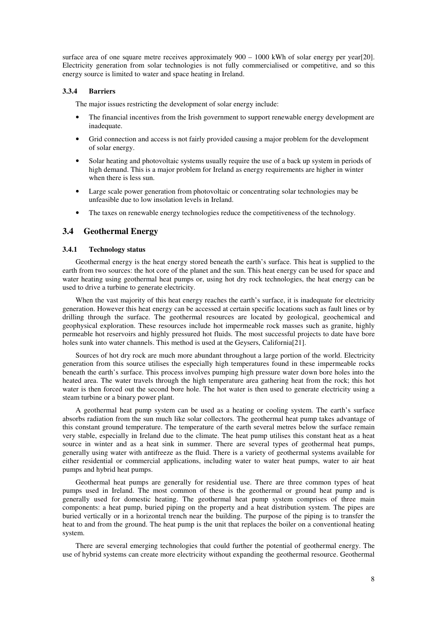surface area of one square metre receives approximately  $900 - 1000$  kWh of solar energy per year[20]. Electricity generation from solar technologies is not fully commercialised or competitive, and so this energy source is limited to water and space heating in Ireland.

#### **3.3.4 Barriers**

The major issues restricting the development of solar energy include:

- The financial incentives from the Irish government to support renewable energy development are inadequate.
- Grid connection and access is not fairly provided causing a major problem for the development of solar energy.
- Solar heating and photovoltaic systems usually require the use of a back up system in periods of high demand. This is a major problem for Ireland as energy requirements are higher in winter when there is less sun.
- Large scale power generation from photovoltaic or concentrating solar technologies may be unfeasible due to low insolation levels in Ireland.
- The taxes on renewable energy technologies reduce the competitiveness of the technology.

## **3.4 Geothermal Energy**

#### **3.4.1 Technology status**

Geothermal energy is the heat energy stored beneath the earth's surface. This heat is supplied to the earth from two sources: the hot core of the planet and the sun. This heat energy can be used for space and water heating using geothermal heat pumps or, using hot dry rock technologies, the heat energy can be used to drive a turbine to generate electricity.

When the vast majority of this heat energy reaches the earth's surface, it is inadequate for electricity generation. However this heat energy can be accessed at certain specific locations such as fault lines or by drilling through the surface. The geothermal resources are located by geological, geochemical and geophysical exploration. These resources include hot impermeable rock masses such as granite, highly permeable hot reservoirs and highly pressured hot fluids. The most successful projects to date have bore holes sunk into water channels. This method is used at the Geysers, California<sup>[21]</sup>.

Sources of hot dry rock are much more abundant throughout a large portion of the world. Electricity generation from this source utilises the especially high temperatures found in these impermeable rocks beneath the earth's surface. This process involves pumping high pressure water down bore holes into the heated area. The water travels through the high temperature area gathering heat from the rock; this hot water is then forced out the second bore hole. The hot water is then used to generate electricity using a steam turbine or a binary power plant.

A geothermal heat pump system can be used as a heating or cooling system. The earth's surface absorbs radiation from the sun much like solar collectors. The geothermal heat pump takes advantage of this constant ground temperature. The temperature of the earth several metres below the surface remain very stable, especially in Ireland due to the climate. The heat pump utilises this constant heat as a heat source in winter and as a heat sink in summer. There are several types of geothermal heat pumps, generally using water with antifreeze as the fluid. There is a variety of geothermal systems available for either residential or commercial applications, including water to water heat pumps, water to air heat pumps and hybrid heat pumps.

Geothermal heat pumps are generally for residential use. There are three common types of heat pumps used in Ireland. The most common of these is the geothermal or ground heat pump and is generally used for domestic heating. The geothermal heat pump system comprises of three main components: a heat pump, buried piping on the property and a heat distribution system. The pipes are buried vertically or in a horizontal trench near the building. The purpose of the piping is to transfer the heat to and from the ground. The heat pump is the unit that replaces the boiler on a conventional heating system.

There are several emerging technologies that could further the potential of geothermal energy. The use of hybrid systems can create more electricity without expanding the geothermal resource. Geothermal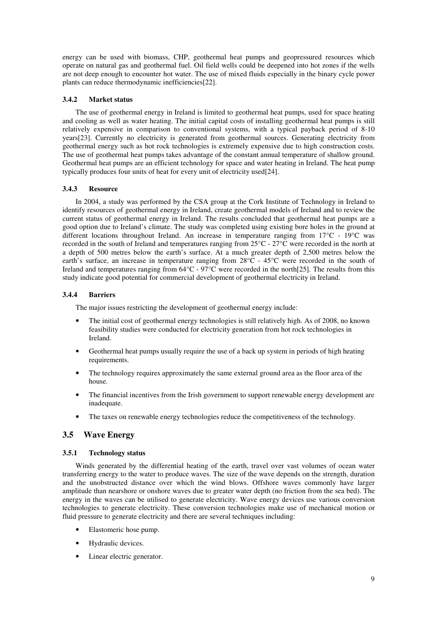energy can be used with biomass, CHP, geothermal heat pumps and geopressured resources which operate on natural gas and geothermal fuel. Oil field wells could be deepened into hot zones if the wells are not deep enough to encounter hot water. The use of mixed fluids especially in the binary cycle power plants can reduce thermodynamic inefficiencies[22].

## **3.4.2 Market status**

The use of geothermal energy in Ireland is limited to geothermal heat pumps, used for space heating and cooling as well as water heating. The initial capital costs of installing geothermal heat pumps is still relatively expensive in comparison to conventional systems, with a typical payback period of 8-10 years[23]. Currently no electricity is generated from geothermal sources. Generating electricity from geothermal energy such as hot rock technologies is extremely expensive due to high construction costs. The use of geothermal heat pumps takes advantage of the constant annual temperature of shallow ground. Geothermal heat pumps are an efficient technology for space and water heating in Ireland. The heat pump typically produces four units of heat for every unit of electricity used[24].

## **3.4.3 Resource**

In 2004, a study was performed by the CSA group at the Cork Institute of Technology in Ireland to identify resources of geothermal energy in Ireland, create geothermal models of Ireland and to review the current status of geothermal energy in Ireland. The results concluded that geothermal heat pumps are a good option due to Ireland's climate. The study was completed using existing bore holes in the ground at different locations throughout Ireland. An increase in temperature ranging from 17°C - 19°C was recorded in the south of Ireland and temperatures ranging from 25°C - 27°C were recorded in the north at a depth of 500 metres below the earth's surface. At a much greater depth of 2,500 metres below the earth's surface, an increase in temperature ranging from 28°C - 45°C were recorded in the south of Ireland and temperatures ranging from 64°C - 97°C were recorded in the north[25]. The results from this study indicate good potential for commercial development of geothermal electricity in Ireland.

## **3.4.4 Barriers**

The major issues restricting the development of geothermal energy include:

- The initial cost of geothermal energy technologies is still relatively high. As of 2008, no known feasibility studies were conducted for electricity generation from hot rock technologies in Ireland.
- Geothermal heat pumps usually require the use of a back up system in periods of high heating requirements.
- The technology requires approximately the same external ground area as the floor area of the house.
- The financial incentives from the Irish government to support renewable energy development are inadequate.
- The taxes on renewable energy technologies reduce the competitiveness of the technology.

## **3.5 Wave Energy**

## **3.5.1 Technology status**

Winds generated by the differential heating of the earth, travel over vast volumes of ocean water transferring energy to the water to produce waves. The size of the wave depends on the strength, duration and the unobstructed distance over which the wind blows. Offshore waves commonly have larger amplitude than nearshore or onshore waves due to greater water depth (no friction from the sea bed). The energy in the waves can be utilised to generate electricity. Wave energy devices use various conversion technologies to generate electricity. These conversion technologies make use of mechanical motion or fluid pressure to generate electricity and there are several techniques including:

- Elastomeric hose pump.
- Hydraulic devices.
- Linear electric generator.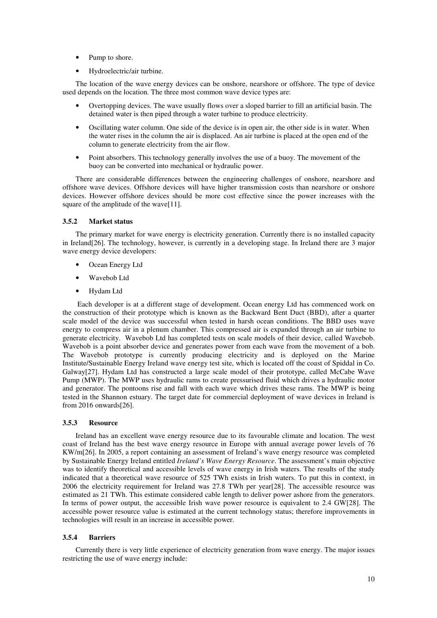- Pump to shore.
- Hydroelectric/air turbine.

The location of the wave energy devices can be onshore, nearshore or offshore. The type of device used depends on the location. The three most common wave device types are:

- Overtopping devices. The wave usually flows over a sloped barrier to fill an artificial basin. The detained water is then piped through a water turbine to produce electricity.
- Oscillating water column. One side of the device is in open air, the other side is in water. When the water rises in the column the air is displaced. An air turbine is placed at the open end of the column to generate electricity from the air flow.
- Point absorbers. This technology generally involves the use of a buoy. The movement of the buoy can be converted into mechanical or hydraulic power.

There are considerable differences between the engineering challenges of onshore, nearshore and offshore wave devices. Offshore devices will have higher transmission costs than nearshore or onshore devices. However offshore devices should be more cost effective since the power increases with the square of the amplitude of the wave[11].

## **3.5.2 Market status**

The primary market for wave energy is electricity generation. Currently there is no installed capacity in Ireland[26]. The technology, however, is currently in a developing stage. In Ireland there are 3 major wave energy device developers:

- Ocean Energy Ltd
- Wavebob Ltd
- Hydam Ltd

Each developer is at a different stage of development. Ocean energy Ltd has commenced work on the construction of their prototype which is known as the Backward Bent Duct (BBD), after a quarter scale model of the device was successful when tested in harsh ocean conditions. The BBD uses wave energy to compress air in a plenum chamber. This compressed air is expanded through an air turbine to generate electricity. Wavebob Ltd has completed tests on scale models of their device, called Wavebob. Wavebob is a point absorber device and generates power from each wave from the movement of a bob. The Wavebob prototype is currently producing electricity and is deployed on the Marine Institute/Sustainable Energy Ireland wave energy test site, which is located off the coast of Spiddal in Co. Galway[27]. Hydam Ltd has constructed a large scale model of their prototype, called McCabe Wave Pump (MWP). The MWP uses hydraulic rams to create pressurised fluid which drives a hydraulic motor and generator. The pontoons rise and fall with each wave which drives these rams. The MWP is being tested in the Shannon estuary. The target date for commercial deployment of wave devices in Ireland is from 2016 onwards[26].

## **3.5.3 Resource**

Ireland has an excellent wave energy resource due to its favourable climate and location. The west coast of Ireland has the best wave energy resource in Europe with annual average power levels of 76 KW/m[26]. In 2005, a report containing an assessment of Ireland's wave energy resource was completed by Sustainable Energy Ireland entitled *Ireland's Wave Energy Resource*. The assessment's main objective was to identify theoretical and accessible levels of wave energy in Irish waters. The results of the study indicated that a theoretical wave resource of 525 TWh exists in Irish waters. To put this in context, in 2006 the electricity requirement for Ireland was 27.8 TWh per year[28]. The accessible resource was estimated as 21 TWh. This estimate considered cable length to deliver power ashore from the generators. In terms of power output, the accessible Irish wave power resource is equivalent to 2.4 GW[28]. The accessible power resource value is estimated at the current technology status; therefore improvements in technologies will result in an increase in accessible power.

#### **3.5.4 Barriers**

Currently there is very little experience of electricity generation from wave energy. The major issues restricting the use of wave energy include: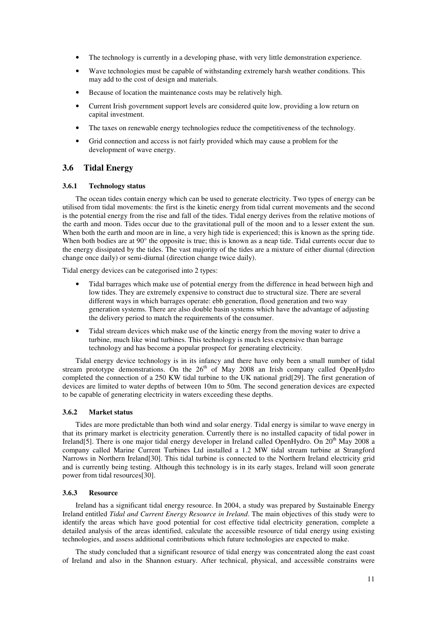- The technology is currently in a developing phase, with very little demonstration experience.
- Wave technologies must be capable of withstanding extremely harsh weather conditions. This may add to the cost of design and materials.
- Because of location the maintenance costs may be relatively high.
- Current Irish government support levels are considered quite low, providing a low return on capital investment.
- The taxes on renewable energy technologies reduce the competitiveness of the technology.
- Grid connection and access is not fairly provided which may cause a problem for the development of wave energy.

## **3.6 Tidal Energy**

#### **3.6.1 Technology status**

The ocean tides contain energy which can be used to generate electricity. Two types of energy can be utilised from tidal movements: the first is the kinetic energy from tidal current movements and the second is the potential energy from the rise and fall of the tides. Tidal energy derives from the relative motions of the earth and moon. Tides occur due to the gravitational pull of the moon and to a lesser extent the sun. When both the earth and moon are in line, a very high tide is experienced; this is known as the spring tide. When both bodies are at 90° the opposite is true; this is known as a neap tide. Tidal currents occur due to the energy dissipated by the tides. The vast majority of the tides are a mixture of either diurnal (direction change once daily) or semi-diurnal (direction change twice daily).

Tidal energy devices can be categorised into 2 types:

- Tidal barrages which make use of potential energy from the difference in head between high and low tides. They are extremely expensive to construct due to structural size. There are several different ways in which barrages operate: ebb generation, flood generation and two way generation systems. There are also double basin systems which have the advantage of adjusting the delivery period to match the requirements of the consumer.
- Tidal stream devices which make use of the kinetic energy from the moving water to drive a turbine, much like wind turbines. This technology is much less expensive than barrage technology and has become a popular prospect for generating electricity.

Tidal energy device technology is in its infancy and there have only been a small number of tidal stream prototype demonstrations. On the 26<sup>th</sup> of May 2008 an Irish company called OpenHydro completed the connection of a 250 KW tidal turbine to the UK national grid[29]. The first generation of devices are limited to water depths of between 10m to 50m. The second generation devices are expected to be capable of generating electricity in waters exceeding these depths.

#### **3.6.2 Market status**

Tides are more predictable than both wind and solar energy. Tidal energy is similar to wave energy in that its primary market is electricity generation. Currently there is no installed capacity of tidal power in Ireland[5]. There is one major tidal energy developer in Ireland called OpenHydro. On 20<sup>th</sup> May 2008 a company called Marine Current Turbines Ltd installed a 1.2 MW tidal stream turbine at Strangford Narrows in Northern Ireland[30]. This tidal turbine is connected to the Northern Ireland electricity grid and is currently being testing. Although this technology is in its early stages, Ireland will soon generate power from tidal resources[30].

#### **3.6.3 Resource**

Ireland has a significant tidal energy resource. In 2004, a study was prepared by Sustainable Energy Ireland entitled *Tidal and Current Energy Resource in Ireland*. The main objectives of this study were to identify the areas which have good potential for cost effective tidal electricity generation, complete a detailed analysis of the areas identified, calculate the accessible resource of tidal energy using existing technologies, and assess additional contributions which future technologies are expected to make.

The study concluded that a significant resource of tidal energy was concentrated along the east coast of Ireland and also in the Shannon estuary. After technical, physical, and accessible constrains were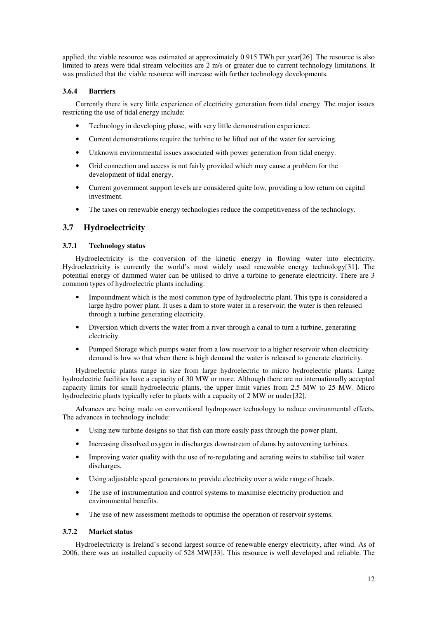applied, the viable resource was estimated at approximately 0.915 TWh per year[26]. The resource is also limited to areas were tidal stream velocities are 2 m/s or greater due to current technology limitations. It was predicted that the viable resource will increase with further technology developments.

## **3.6.4 Barriers**

Currently there is very little experience of electricity generation from tidal energy. The major issues restricting the use of tidal energy include:

- Technology in developing phase, with very little demonstration experience.
- Current demonstrations require the turbine to be lifted out of the water for servicing.
- Unknown environmental issues associated with power generation from tidal energy.
- Grid connection and access is not fairly provided which may cause a problem for the development of tidal energy.
- Current government support levels are considered quite low, providing a low return on capital investment.
- The taxes on renewable energy technologies reduce the competitiveness of the technology.

# **3.7 Hydroelectricity**

## **3.7.1 Technology status**

Hydroelectricity is the conversion of the kinetic energy in flowing water into electricity. Hydroelectricity is currently the world's most widely used renewable energy technology[31]. The potential energy of dammed water can be utilised to drive a turbine to generate electricity. There are 3 common types of hydroelectric plants including:

- Impoundment which is the most common type of hydroelectric plant. This type is considered a large hydro power plant. It uses a dam to store water in a reservoir; the water is then released through a turbine generating electricity.
- Diversion which diverts the water from a river through a canal to turn a turbine, generating electricity.
- Pumped Storage which pumps water from a low reservoir to a higher reservoir when electricity demand is low so that when there is high demand the water is released to generate electricity.

Hydroelectric plants range in size from large hydroelectric to micro hydroelectric plants. Large hydroelectric facilities have a capacity of 30 MW or more. Although there are no internationally accepted capacity limits for small hydroelectric plants, the upper limit varies from 2.5 MW to 25 MW. Micro hydroelectric plants typically refer to plants with a capacity of 2 MW or under[32].

Advances are being made on conventional hydropower technology to reduce environmental effects. The advances in technology include:

- Using new turbine designs so that fish can more easily pass through the power plant.
- Increasing dissolved oxygen in discharges downstream of dams by autoventing turbines.
- Improving water quality with the use of re-regulating and aerating weirs to stabilise tail water discharges.
- Using adjustable speed generators to provide electricity over a wide range of heads.
- The use of instrumentation and control systems to maximise electricity production and environmental benefits.
- The use of new assessment methods to optimise the operation of reservoir systems.

## **3.7.2 Market status**

Hydroelectricity is Ireland's second largest source of renewable energy electricity, after wind. As of 2006, there was an installed capacity of 528 MW[33]. This resource is well developed and reliable. The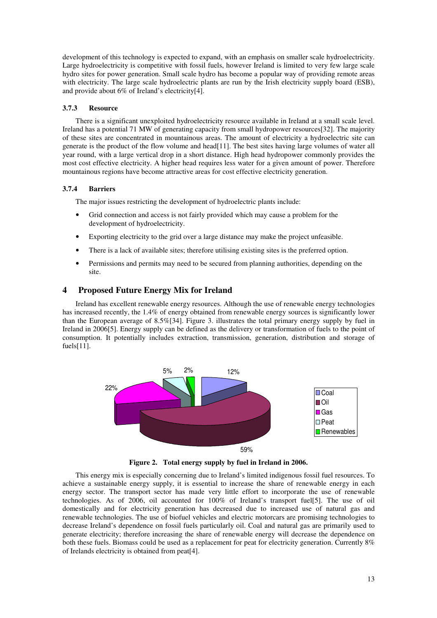development of this technology is expected to expand, with an emphasis on smaller scale hydroelectricity. Large hydroelectricity is competitive with fossil fuels, however Ireland is limited to very few large scale hydro sites for power generation. Small scale hydro has become a popular way of providing remote areas with electricity. The large scale hydroelectric plants are run by the Irish electricity supply board (ESB), and provide about 6% of Ireland's electricity[4].

#### **3.7.3 Resource**

There is a significant unexploited hydroelectricity resource available in Ireland at a small scale level. Ireland has a potential 71 MW of generating capacity from small hydropower resources[32]. The majority of these sites are concentrated in mountainous areas. The amount of electricity a hydroelectric site can generate is the product of the flow volume and head[11]. The best sites having large volumes of water all year round, with a large vertical drop in a short distance. High head hydropower commonly provides the most cost effective electricity. A higher head requires less water for a given amount of power. Therefore mountainous regions have become attractive areas for cost effective electricity generation.

#### **3.7.4 Barriers**

The major issues restricting the development of hydroelectric plants include:

- Grid connection and access is not fairly provided which may cause a problem for the development of hydroelectricity.
- Exporting electricity to the grid over a large distance may make the project unfeasible.
- There is a lack of available sites; therefore utilising existing sites is the preferred option.
- Permissions and permits may need to be secured from planning authorities, depending on the site.

## **4 Proposed Future Energy Mix for Ireland**

Ireland has excellent renewable energy resources. Although the use of renewable energy technologies has increased recently, the 1.4% of energy obtained from renewable energy sources is significantly lower than the European average of 8.5%[34]. Figure 3. illustrates the total primary energy supply by fuel in Ireland in 2006[5]. Energy supply can be defined as the delivery or transformation of fuels to the point of consumption. It potentially includes extraction, transmission, generation, distribution and storage of fuels[11].



**Figure 2. Total energy supply by fuel in Ireland in 2006.**

This energy mix is especially concerning due to Ireland's limited indigenous fossil fuel resources. To achieve a sustainable energy supply, it is essential to increase the share of renewable energy in each energy sector. The transport sector has made very little effort to incorporate the use of renewable technologies. As of 2006, oil accounted for 100% of Ireland's transport fuel[5]. The use of oil domestically and for electricity generation has decreased due to increased use of natural gas and renewable technologies. The use of biofuel vehicles and electric motorcars are promising technologies to decrease Ireland's dependence on fossil fuels particularly oil. Coal and natural gas are primarily used to generate electricity; therefore increasing the share of renewable energy will decrease the dependence on both these fuels. Biomass could be used as a replacement for peat for electricity generation. Currently 8% of Irelands electricity is obtained from peat[4].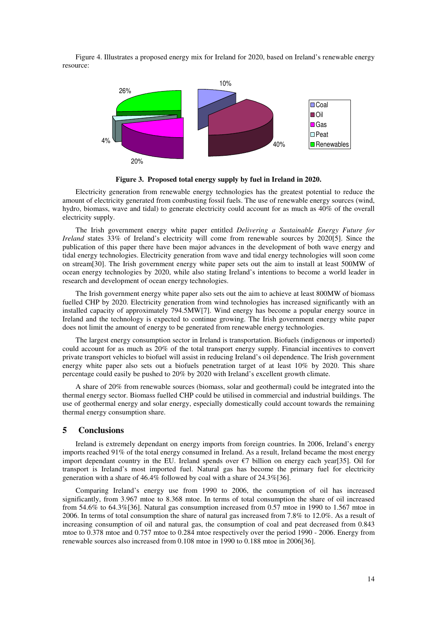Figure 4. Illustrates a proposed energy mix for Ireland for 2020, based on Ireland's renewable energy resource:



**Figure 3. Proposed total energy supply by fuel in Ireland in 2020.**

Electricity generation from renewable energy technologies has the greatest potential to reduce the amount of electricity generated from combusting fossil fuels. The use of renewable energy sources (wind, hydro, biomass, wave and tidal) to generate electricity could account for as much as 40% of the overall electricity supply.

The Irish government energy white paper entitled *Delivering a Sustainable Energy Future for Ireland* states 33% of Ireland's electricity will come from renewable sources by 2020[5]. Since the publication of this paper there have been major advances in the development of both wave energy and tidal energy technologies. Electricity generation from wave and tidal energy technologies will soon come on stream[30]. The Irish government energy white paper sets out the aim to install at least 500MW of ocean energy technologies by 2020, while also stating Ireland's intentions to become a world leader in research and development of ocean energy technologies.

The Irish government energy white paper also sets out the aim to achieve at least 800MW of biomass fuelled CHP by 2020. Electricity generation from wind technologies has increased significantly with an installed capacity of approximately 794.5MW[7]. Wind energy has become a popular energy source in Ireland and the technology is expected to continue growing. The Irish government energy white paper does not limit the amount of energy to be generated from renewable energy technologies.

The largest energy consumption sector in Ireland is transportation. Biofuels (indigenous or imported) could account for as much as 20% of the total transport energy supply. Financial incentives to convert private transport vehicles to biofuel will assist in reducing Ireland's oil dependence. The Irish government energy white paper also sets out a biofuels penetration target of at least 10% by 2020. This share percentage could easily be pushed to 20% by 2020 with Ireland's excellent growth climate.

A share of 20% from renewable sources (biomass, solar and geothermal) could be integrated into the thermal energy sector. Biomass fuelled CHP could be utilised in commercial and industrial buildings. The use of geothermal energy and solar energy, especially domestically could account towards the remaining thermal energy consumption share.

## **5 Conclusions**

Ireland is extremely dependant on energy imports from foreign countries. In 2006, Ireland's energy imports reached 91% of the total energy consumed in Ireland. As a result, Ireland became the most energy import dependant country in the EU. Ireland spends over  $\epsilon$ 7 billion on energy each year[35]. Oil for transport is Ireland's most imported fuel. Natural gas has become the primary fuel for electricity generation with a share of 46.4% followed by coal with a share of 24.3%[36].

Comparing Ireland's energy use from 1990 to 2006, the consumption of oil has increased significantly, from 3.967 mtoe to 8.368 mtoe. In terms of total consumption the share of oil increased from 54.6% to 64.3%[36]. Natural gas consumption increased from 0.57 mtoe in 1990 to 1.567 mtoe in 2006. In terms of total consumption the share of natural gas increased from 7.8% to 12.0%. As a result of increasing consumption of oil and natural gas, the consumption of coal and peat decreased from 0.843 mtoe to 0.378 mtoe and 0.757 mtoe to 0.284 mtoe respectively over the period 1990 - 2006. Energy from renewable sources also increased from 0.108 mtoe in 1990 to 0.188 mtoe in 2006[36].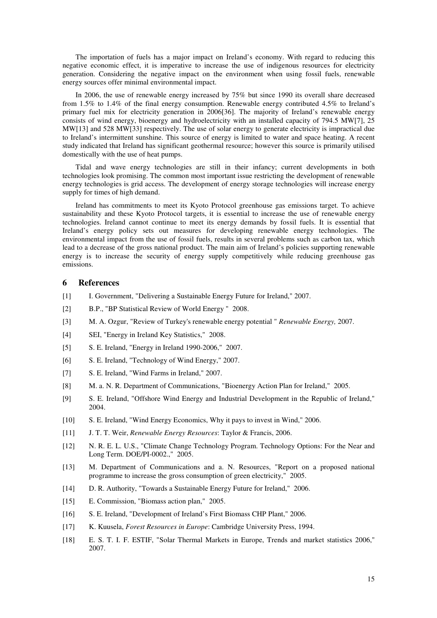The importation of fuels has a major impact on Ireland's economy. With regard to reducing this negative economic effect, it is imperative to increase the use of indigenous resources for electricity generation. Considering the negative impact on the environment when using fossil fuels, renewable energy sources offer minimal environmental impact.

In 2006, the use of renewable energy increased by 75% but since 1990 its overall share decreased from 1.5% to 1.4% of the final energy consumption. Renewable energy contributed 4.5% to Ireland's primary fuel mix for electricity generation in 2006[36]. The majority of Ireland's renewable energy consists of wind energy, bioenergy and hydroelectricity with an installed capacity of 794.5 MW[7], 25 MW[13] and 528 MW[33] respectively. The use of solar energy to generate electricity is impractical due to Ireland's intermittent sunshine. This source of energy is limited to water and space heating. A recent study indicated that Ireland has significant geothermal resource; however this source is primarily utilised domestically with the use of heat pumps.

Tidal and wave energy technologies are still in their infancy; current developments in both technologies look promising. The common most important issue restricting the development of renewable energy technologies is grid access. The development of energy storage technologies will increase energy supply for times of high demand.

Ireland has commitments to meet its Kyoto Protocol greenhouse gas emissions target. To achieve sustainability and these Kyoto Protocol targets, it is essential to increase the use of renewable energy technologies. Ireland cannot continue to meet its energy demands by fossil fuels. It is essential that Ireland's energy policy sets out measures for developing renewable energy technologies. The environmental impact from the use of fossil fuels, results in several problems such as carbon tax, which lead to a decrease of the gross national product. The main aim of Ireland's policies supporting renewable energy is to increase the security of energy supply competitively while reducing greenhouse gas emissions.

#### **6 References**

- [1] I. Government, "Delivering a Sustainable Energy Future for Ireland," 2007.
- [2] B.P., "BP Statistical Review of World Energy " 2008.
- [3] M. A. Ozgur, "Review of Turkey's renewable energy potential " *Renewable Energy,* 2007.
- [4] SEI, "Energy in Ireland Key Statistics," 2008.
- [5] S. E. Ireland, "Energy in Ireland 1990-2006," 2007.
- [6] S. E. Ireland, "Technology of Wind Energy," 2007.
- [7] S. E. Ireland, "Wind Farms in Ireland," 2007.
- [8] M. a. N. R. Department of Communications, "Bioenergy Action Plan for Ireland," 2005.
- [9] S. E. Ireland, "Offshore Wind Energy and Industrial Development in the Republic of Ireland," 2004.
- [10] S. E. Ireland, "Wind Energy Economics, Why it pays to invest in Wind," 2006.
- [11] J. T. T. Weir, *Renewable Energy Resources*: Taylor & Francis, 2006.
- [12] N. R. E. L. U.S., "Climate Change Technology Program. Technology Options: For the Near and Long Term. DOE/PI-0002.," 2005.
- [13] M. Department of Communications and a. N. Resources, "Report on a proposed national programme to increase the gross consumption of green electricity," 2005.
- [14] D. R. Authority, "Towards a Sustainable Energy Future for Ireland," 2006.
- [15] E. Commission, "Biomass action plan," 2005.
- [16] S. E. Ireland, "Development of Ireland's First Biomass CHP Plant," 2006.
- [17] K. Kuusela, *Forest Resources in Europe*: Cambridge University Press, 1994.
- [18] E. S. T. I. F. ESTIF, "Solar Thermal Markets in Europe, Trends and market statistics 2006," 2007.